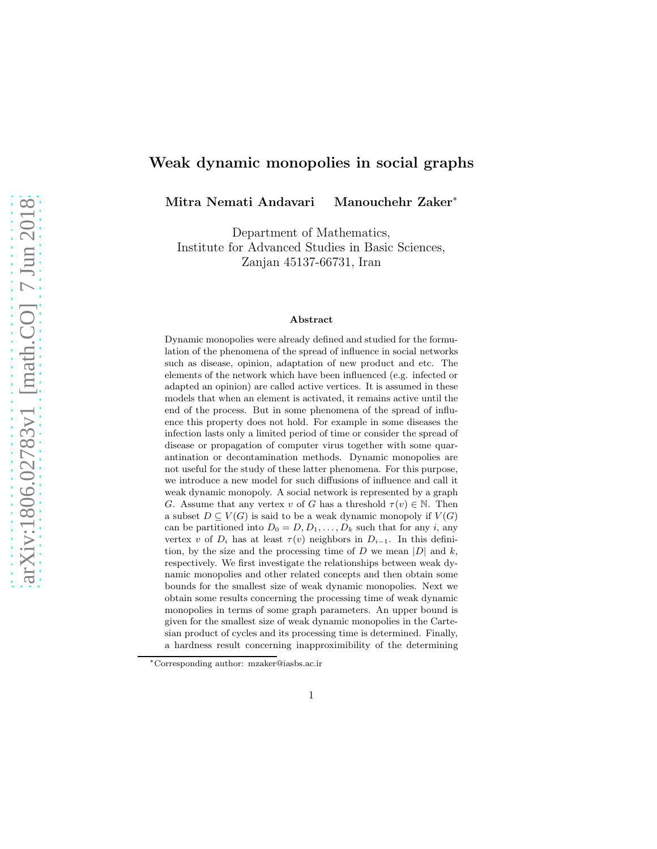### Weak dynamic monopolies in social graphs

Mitra Nemati Andavari Manouchehr Zaker<sup>∗</sup>

Department of Mathematics, Institute for Advanced Studies in Basic Sciences, Zanjan 45137-66731, Iran

#### Abstract

Dynamic monopolies were already defined and studied for the formulation of the phenomena of the spread of influence in social networks such as disease, opinion, adaptation of new product and etc. The elements of the network which have been influenced (e.g. infected or adapted an opinion) are called active vertices. It is assumed in these models that when an element is activated, it remains active until the end of the process. But in some phenomena of the spread of influence this property does not hold. For example in some diseases the infection lasts only a limited period of time or consider the spread of disease or propagation of computer virus together with some quarantination or decontamination methods. Dynamic monopolies are not useful for the study of these latter phenomena. For this purpose, we introduce a new model for such diffusions of influence and call it weak dynamic monopoly. A social network is represented by a graph G. Assume that any vertex v of G has a threshold  $\tau(v) \in \mathbb{N}$ . Then a subset  $D \subseteq V(G)$  is said to be a weak dynamic monopoly if  $V(G)$ can be partitioned into  $D_0 = D, D_1, \ldots, D_k$  such that for any i, any vertex v of  $D_i$  has at least  $\tau(v)$  neighbors in  $D_{i-1}$ . In this definition, by the size and the processing time of  $D$  we mean  $|D|$  and  $k$ , respectively. We first investigate the relationships between weak dynamic monopolies and other related concepts and then obtain some bounds for the smallest size of weak dynamic monopolies. Next we obtain some results concerning the processing time of weak dynamic monopolies in terms of some graph parameters. An upper bound is given for the smallest size of weak dynamic monopolies in the Cartesian product of cycles and its processing time is determined. Finally, a hardness result concerning inapproximibility of the determining

<sup>∗</sup>Corresponding author: mzaker@iasbs.ac.ir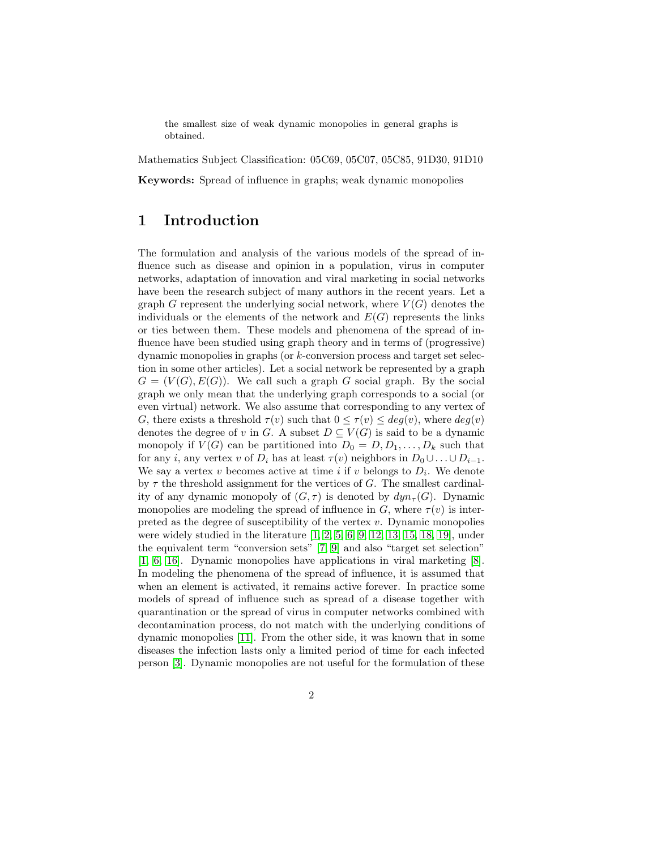the smallest size of weak dynamic monopolies in general graphs is obtained.

Mathematics Subject Classification: 05C69, 05C07, 05C85, 91D30, 91D10

Keywords: Spread of influence in graphs; weak dynamic monopolies

### 1 Introduction

The formulation and analysis of the various models of the spread of influence such as disease and opinion in a population, virus in computer networks, adaptation of innovation and viral marketing in social networks have been the research subject of many authors in the recent years. Let a graph G represent the underlying social network, where  $V(G)$  denotes the individuals or the elements of the network and  $E(G)$  represents the links or ties between them. These models and phenomena of the spread of influence have been studied using graph theory and in terms of (progressive) dynamic monopolies in graphs (or k-conversion process and target set selection in some other articles). Let a social network be represented by a graph  $G = (V(G), E(G))$ . We call such a graph G social graph. By the social graph we only mean that the underlying graph corresponds to a social (or even virtual) network. We also assume that corresponding to any vertex of G, there exists a threshold  $\tau(v)$  such that  $0 \leq \tau(v) \leq deg(v)$ , where  $deg(v)$ denotes the degree of v in G. A subset  $D \subseteq V(G)$  is said to be a dynamic monopoly if  $V(G)$  can be partitioned into  $D_0 = D, D_1, \ldots, D_k$  such that for any *i*, any vertex v of  $D_i$  has at least  $\tau(v)$  neighbors in  $D_0 \cup \ldots \cup D_{i-1}$ . We say a vertex  $v$  becomes active at time  $i$  if  $v$  belongs to  $D_i$ . We denote by  $\tau$  the threshold assignment for the vertices of G. The smallest cardinality of any dynamic monopoly of  $(G, \tau)$  is denoted by  $dyn_{\tau}(G)$ . Dynamic monopolies are modeling the spread of influence in G, where  $\tau(v)$  is interpreted as the degree of susceptibility of the vertex  $v$ . Dynamic monopolies were widely studied in the literature [\[1,](#page-17-0) [2,](#page-17-1) [5,](#page-17-2) [6,](#page-17-3) [9,](#page-17-4) [12,](#page-18-0) [13,](#page-18-1) [15,](#page-18-2) [18,](#page-18-3) [19\]](#page-18-4), under the equivalent term "conversion sets" [\[7,](#page-17-5) [9\]](#page-17-4) and also "target set selection" [\[1,](#page-17-0) [6,](#page-17-3) [16\]](#page-18-5). Dynamic monopolies have applications in viral marketing [\[8\]](#page-17-6). In modeling the phenomena of the spread of influence, it is assumed that when an element is activated, it remains active forever. In practice some models of spread of influence such as spread of a disease together with quarantination or the spread of virus in computer networks combined with decontamination process, do not match with the underlying conditions of dynamic monopolies [\[11\]](#page-17-7). From the other side, it was known that in some diseases the infection lasts only a limited period of time for each infected person [\[3\]](#page-17-8). Dynamic monopolies are not useful for the formulation of these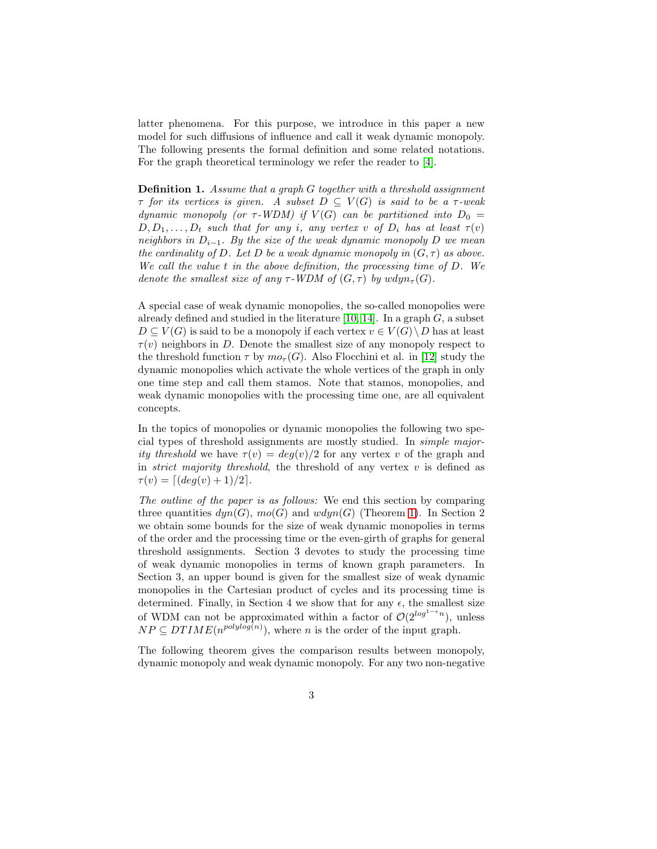latter phenomena. For this purpose, we introduce in this paper a new model for such diffusions of influence and call it weak dynamic monopoly. The following presents the formal definition and some related notations. For the graph theoretical terminology we refer the reader to [\[4\]](#page-17-9).

Definition 1. *Assume that a graph* G *together with a threshold assignment*  $\tau$  *for its vertices is given.* A subset  $D \subseteq V(G)$  *is said to be a*  $\tau$ -weak *dynamic monopoly (or*  $\tau$ -WDM) if  $V(G)$  *can be partitioned into*  $D_0 =$  $D, D_1, \ldots, D_t$  *such that for any i*, any vertex *v of*  $D_i$  *has at least*  $\tau(v)$ *neighbors in*  $D_{i-1}$ *. By the size of the weak dynamic monopoly* D *we mean the cardinality of* D. Let D *be a weak dynamic monopoly in*  $(G, \tau)$  *as above. We call the value* t *in the above definition, the processing time of* D*. We denote the smallest size of any*  $\tau$ -WDM of  $(G, \tau)$  by  $wdyn_{\tau}(G)$ .

A special case of weak dynamic monopolies, the so-called monopolies were already defined and studied in the literature [\[10,](#page-17-10) [14\]](#page-18-6). In a graph  $G$ , a subset  $D \subseteq V(G)$  is said to be a monopoly if each vertex  $v \in V(G) \setminus D$  has at least  $\tau(v)$  neighbors in D. Denote the smallest size of any monopoly respect to the threshold function  $\tau$  by  $m\sigma_{\tau}(G)$ . Also Flocchini et al. in [\[12\]](#page-18-0) study the dynamic monopolies which activate the whole vertices of the graph in only one time step and call them stamos. Note that stamos, monopolies, and weak dynamic monopolies with the processing time one, are all equivalent concepts.

In the topics of monopolies or dynamic monopolies the following two special types of threshold assignments are mostly studied. In *simple majority threshold* we have  $\tau(v) = deg(v)/2$  for any vertex v of the graph and in *strict majority threshold*, the threshold of any vertex  $v$  is defined as  $\tau(v) = [(deg(v) + 1)/2].$ 

*The outline of the paper is as follows:* We end this section by comparing three quantities  $dyn(G), mo(G)$  and  $wdyn(G)$  (Theorem [1\)](#page-3-0). In Section 2 we obtain some bounds for the size of weak dynamic monopolies in terms of the order and the processing time or the even-girth of graphs for general threshold assignments. Section 3 devotes to study the processing time of weak dynamic monopolies in terms of known graph parameters. In Section 3, an upper bound is given for the smallest size of weak dynamic monopolies in the Cartesian product of cycles and its processing time is determined. Finally, in Section 4 we show that for any  $\epsilon$ , the smallest size of WDM can not be approximated within a factor of  $\mathcal{O}(2^{\log^{1-\epsilon} n})$ , unless  $NP \subseteq DTIME(n^{polylog(n)})$ , where *n* is the order of the input graph.

The following theorem gives the comparison results between monopoly, dynamic monopoly and weak dynamic monopoly. For any two non-negative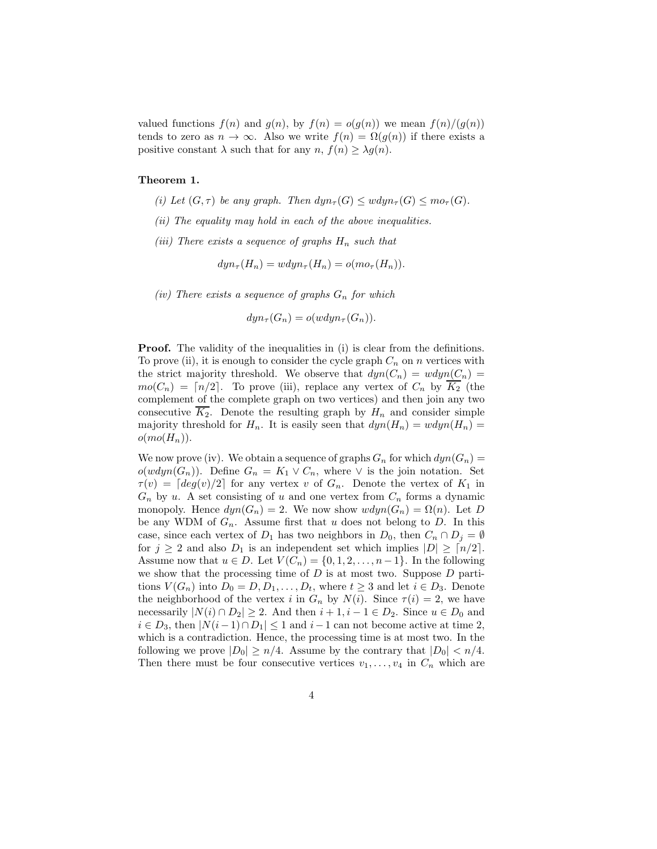<span id="page-3-0"></span>valued functions  $f(n)$  and  $g(n)$ , by  $f(n) = o(g(n))$  we mean  $f(n)/(g(n))$ tends to zero as  $n \to \infty$ . Also we write  $f(n) = \Omega(g(n))$  if there exists a positive constant  $\lambda$  such that for any  $n, f(n) \geq \lambda g(n)$ .

#### Theorem 1.

- *(i)* Let  $(G, \tau)$  be any graph. Then  $dyn_{\tau}(G) \leq wdyn_{\tau}(G) \leq mo_{\tau}(G)$ .
- *(ii) The equality may hold in each of the above inequalities.*
- *(iii)* There exists a sequence of graphs  $H_n$  such that

$$
dyn_{\tau}(H_n) = wdyn_{\tau}(H_n) = o(mo_{\tau}(H_n)).
$$

*(iv)* There exists a sequence of graphs  $G_n$  for which

$$
dyn_{\tau}(G_n) = o(wdyn_{\tau}(G_n)).
$$

**Proof.** The validity of the inequalities in (i) is clear from the definitions. To prove (ii), it is enough to consider the cycle graph  $C_n$  on n vertices with the strict majority threshold. We observe that  $dyn(C_n) = wdyn(C_n) =$  $mo(C_n) = \lceil n/2 \rceil$ . To prove (iii), replace any vertex of  $C_n$  by  $\overline{K_2}$  (the complement of the complete graph on two vertices) and then join any two consecutive  $\overline{K_2}$ . Denote the resulting graph by  $H_n$  and consider simple majority threshold for  $H_n$ . It is easily seen that  $dyn(H_n) = wdyn(H_n) =$  $o(mo(H_n)).$ 

We now prove (iv). We obtain a sequence of graphs  $G_n$  for which  $dyn(G_n) =$  $o(wdyn(G_n))$ . Define  $G_n = K_1 \vee C_n$ , where  $\vee$  is the join notation. Set  $\tau(v) = \lfloor deg(v)/2 \rfloor$  for any vertex v of  $G_n$ . Denote the vertex of  $K_1$  in  $G_n$  by u. A set consisting of u and one vertex from  $C_n$  forms a dynamic monopoly. Hence  $dyn(G_n) = 2$ . We now show  $wdyn(G_n) = \Omega(n)$ . Let D be any WDM of  $G_n$ . Assume first that u does not belong to D. In this case, since each vertex of  $D_1$  has two neighbors in  $D_0$ , then  $C_n \cap D_j = \emptyset$ for  $j \geq 2$  and also  $D_1$  is an independent set which implies  $|D| \geq \lceil n/2 \rceil$ . Assume now that  $u \in D$ . Let  $V(C_n) = \{0, 1, 2, \ldots, n-1\}$ . In the following we show that the processing time of  $D$  is at most two. Suppose  $D$  partitions  $V(G_n)$  into  $D_0 = D, D_1, \ldots, D_t$ , where  $t \geq 3$  and let  $i \in D_3$ . Denote the neighborhood of the vertex i in  $G_n$  by  $N(i)$ . Since  $\tau(i) = 2$ , we have necessarily  $|N(i) \cap D_2| \geq 2$ . And then  $i + 1, i - 1 \in D_2$ . Since  $u \in D_0$  and  $i \in D_3$ , then  $|N(i-1) \cap D_1| \leq 1$  and  $i-1$  can not become active at time 2, which is a contradiction. Hence, the processing time is at most two. In the following we prove  $|D_0| \ge n/4$ . Assume by the contrary that  $|D_0| < n/4$ . Then there must be four consecutive vertices  $v_1, \ldots, v_4$  in  $C_n$  which are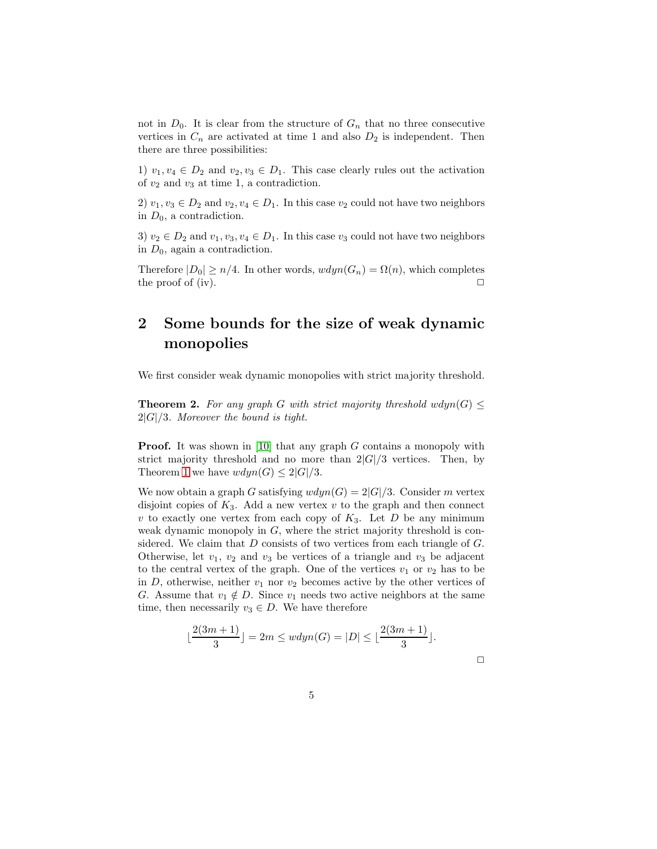not in  $D_0$ . It is clear from the structure of  $G_n$  that no three consecutive vertices in  $C_n$  are activated at time 1 and also  $D_2$  is independent. Then there are three possibilities:

1)  $v_1, v_4 \in D_2$  and  $v_2, v_3 \in D_1$ . This case clearly rules out the activation of  $v_2$  and  $v_3$  at time 1, a contradiction.

2)  $v_1, v_3 \in D_2$  and  $v_2, v_4 \in D_1$ . In this case  $v_2$  could not have two neighbors in  $D_0$ , a contradiction.

3)  $v_2 \in D_2$  and  $v_1, v_3, v_4 \in D_1$ . In this case  $v_3$  could not have two neighbors in  $D_0$ , again a contradiction.

Therefore  $|D_0| \ge n/4$ . In other words,  $wdyn(G_n) = \Omega(n)$ , which completes the proof of (iv).  $\Box$ 

# 2 Some bounds for the size of weak dynamic monopolies

We first consider weak dynamic monopolies with strict majority threshold.

**Theorem 2.** For any graph G with strict majority threshold  $wdyn(G) \leq$ 2|G|/3*. Moreover the bound is tight.*

**Proof.** It was shown in [\[10\]](#page-17-10) that any graph G contains a monopoly with strict majority threshold and no more than  $2|G|/3$  vertices. Then, by Theorem [1](#page-3-0) we have  $wdyn(G) \leq 2|G|/3$ .

We now obtain a graph G satisfying  $wdyn(G) = 2|G|/3$ . Consider m vertex disjoint copies of  $K_3$ . Add a new vertex v to the graph and then connect v to exactly one vertex from each copy of  $K_3$ . Let D be any minimum weak dynamic monopoly in  $G$ , where the strict majority threshold is considered. We claim that  $D$  consists of two vertices from each triangle of  $G$ . Otherwise, let  $v_1$ ,  $v_2$  and  $v_3$  be vertices of a triangle and  $v_3$  be adjacent to the central vertex of the graph. One of the vertices  $v_1$  or  $v_2$  has to be in D, otherwise, neither  $v_1$  nor  $v_2$  becomes active by the other vertices of G. Assume that  $v_1 \notin D$ . Since  $v_1$  needs two active neighbors at the same time, then necessarily  $v_3 \in D$ . We have therefore

$$
\lfloor \frac{2(3m+1)}{3} \rfloor = 2m \le wdyn(G) = |D| \le \lfloor \frac{2(3m+1)}{3} \rfloor.
$$

 $\Box$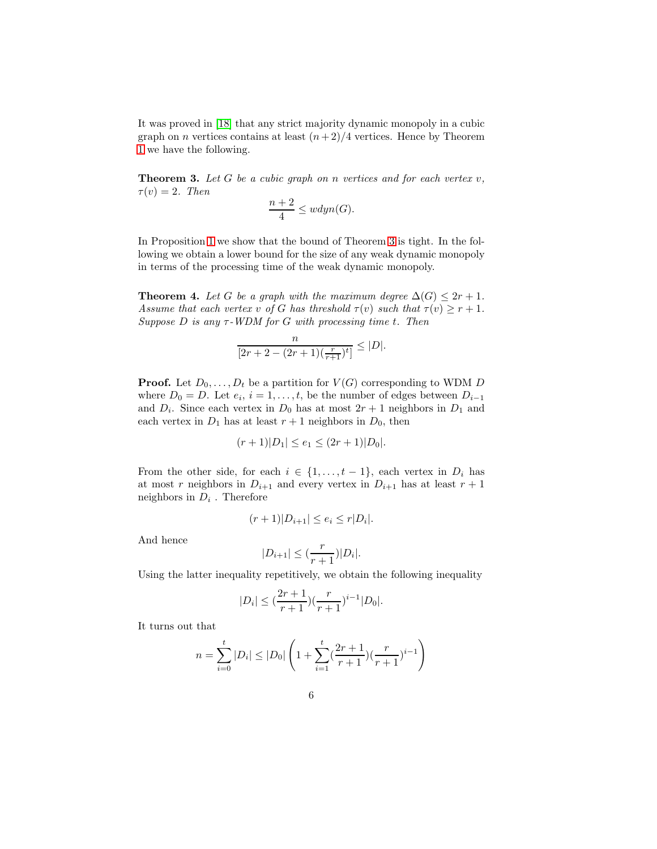<span id="page-5-0"></span>It was proved in [\[18\]](#page-18-3) that any strict majority dynamic monopoly in a cubic graph on *n* vertices contains at least  $(n+2)/4$  vertices. Hence by Theorem [1](#page-3-0) we have the following.

Theorem 3. *Let* G *be a cubic graph on* n *vertices and for each vertex* v*,*  $\tau(v) = 2$ *. Then* 

$$
\frac{n+2}{4} \le wdyn(G).
$$

<span id="page-5-1"></span>In Proposition [1](#page-6-0) we show that the bound of Theorem [3](#page-5-0) is tight. In the following we obtain a lower bound for the size of any weak dynamic monopoly in terms of the processing time of the weak dynamic monopoly.

**Theorem 4.** Let G be a graph with the maximum degree  $\Delta(G) \leq 2r + 1$ . *Assume that each vertex* v of G has threshold  $\tau(v)$  such that  $\tau(v) \geq r + 1$ . *Suppose* D *is any* τ*-WDM for* G *with processing time* t*. Then*

$$
\frac{n}{[2r+2-(2r+1)(\frac{r}{r+1})^t]} \leq |D|.
$$

**Proof.** Let  $D_0, \ldots, D_t$  be a partition for  $V(G)$  corresponding to WDM D where  $D_0 = D$ . Let  $e_i$ ,  $i = 1, \ldots, t$ , be the number of edges between  $D_{i-1}$ and  $D_i$ . Since each vertex in  $D_0$  has at most  $2r + 1$  neighbors in  $D_1$  and each vertex in  $D_1$  has at least  $r + 1$  neighbors in  $D_0$ , then

$$
(r+1)|D_1| \le e_1 \le (2r+1)|D_0|.
$$

From the other side, for each  $i \in \{1, \ldots, t-1\}$ , each vertex in  $D_i$  has at most r neighbors in  $D_{i+1}$  and every vertex in  $D_{i+1}$  has at least  $r+1$ neighbors in  $D_i$ . Therefore

$$
(r+1)|D_{i+1}| \le e_i \le r|D_i|.
$$

And hence

$$
|D_{i+1}| \leq \left(\frac{r}{r+1}\right)|D_i|.
$$

Using the latter inequality repetitively, we obtain the following inequality

$$
|D_i| \le \left(\frac{2r+1}{r+1}\right)\left(\frac{r}{r+1}\right)^{i-1}|D_0|.
$$

It turns out that

$$
n = \sum_{i=0}^{t} |D_i| \le |D_0| \left( 1 + \sum_{i=1}^{t} \left( \frac{2r+1}{r+1} \right) \left( \frac{r}{r+1} \right)^{i-1} \right)
$$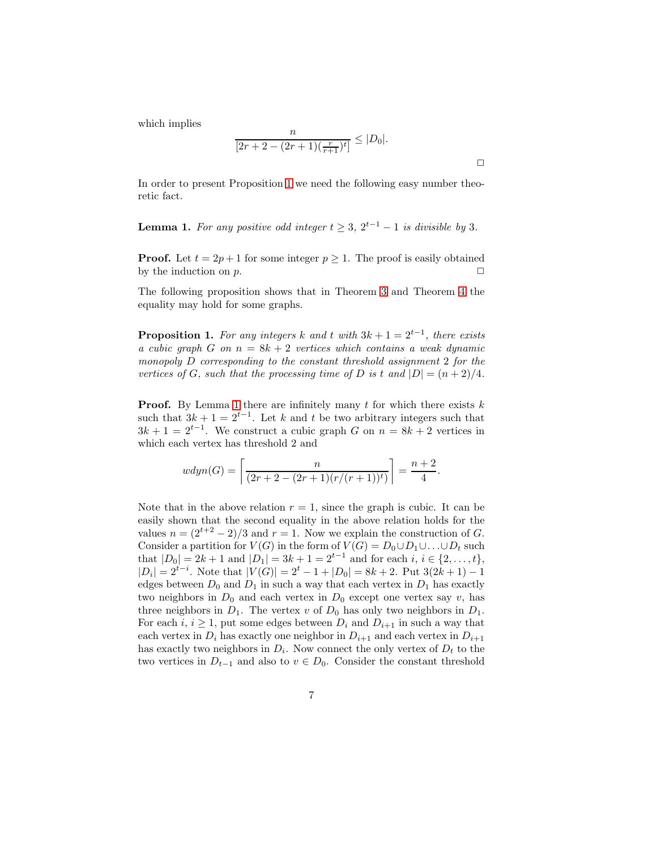which implies

$$
\frac{n}{[2r+2-(2r+1)(\frac{r}{r+1})^t]} \le |D_0|.
$$

 $\Box$ 

<span id="page-6-1"></span>In order to present Proposition [1](#page-6-0) we need the following easy number theoretic fact.

**Lemma 1.** For any positive odd integer  $t \geq 3$ ,  $2^{t-1} - 1$  is divisible by 3.

**Proof.** Let  $t = 2p + 1$  for some integer  $p \ge 1$ . The proof is easily obtained by the induction on  $p$ .

<span id="page-6-0"></span>The following proposition shows that in Theorem [3](#page-5-0) and Theorem [4](#page-5-1) the equality may hold for some graphs.

**Proposition 1.** For any integers k and t with  $3k + 1 = 2^{t-1}$ , there exists *a cubic graph* G *on*  $n = 8k + 2$  *vertices which contains a weak dynamic monopoly* D *corresponding to the constant threshold assignment* 2 *for the vertices of* G, such that the processing time of D is t and  $|D| = (n+2)/4$ .

**Proof.** By Lemma [1](#page-6-1) there are infinitely many  $t$  for which there exists  $k$ such that  $3k + 1 = 2^{t-1}$ . Let k and t be two arbitrary integers such that  $3k + 1 = 2^{t-1}$ . We construct a cubic graph G on  $n = 8k + 2$  vertices in which each vertex has threshold 2 and

$$
wdyn(G) = \left\lceil \frac{n}{(2r+2 - (2r+1)(r/(r+1))^{t})} \right\rceil = \frac{n+2}{4}.
$$

Note that in the above relation  $r = 1$ , since the graph is cubic. It can be easily shown that the second equality in the above relation holds for the values  $n = (2^{t+2} - 2)/3$  and  $r = 1$ . Now we explain the construction of G. Consider a partition for  $V(G)$  in the form of  $V(G) = D_0 \cup D_1 \cup ... \cup D_t$  such that  $|D_0| = 2k + 1$  and  $|D_1| = 3k + 1 = 2^{t-1}$  and for each  $i, i \in \{2, ..., t\}$ ,  $|D_i| = 2^{t-i}$ . Note that  $|V(G)| = 2^t - 1 + |D_0| = 8k + 2$ . Put  $3(2k + 1) - 1$ edges between  $D_0$  and  $D_1$  in such a way that each vertex in  $D_1$  has exactly two neighbors in  $D_0$  and each vertex in  $D_0$  except one vertex say v, has three neighbors in  $D_1$ . The vertex v of  $D_0$  has only two neighbors in  $D_1$ . For each i,  $i \geq 1$ , put some edges between  $D_i$  and  $D_{i+1}$  in such a way that each vertex in  $D_i$  has exactly one neighbor in  $D_{i+1}$  and each vertex in  $D_{i+1}$ has exactly two neighbors in  $D_i$ . Now connect the only vertex of  $D_t$  to the two vertices in  $D_{t-1}$  and also to  $v \in D_0$ . Consider the constant threshold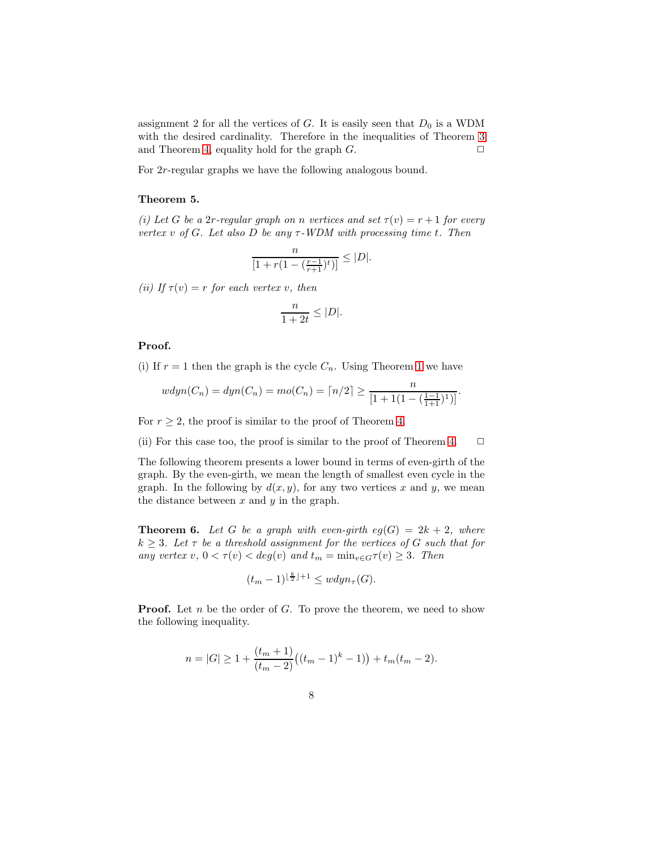assignment 2 for all the vertices of  $G$ . It is easily seen that  $D_0$  is a WDM with the desired cardinality. Therefore in the inequalities of Theorem [3](#page-5-0) and Theorem [4,](#page-5-1) equality hold for the graph  $G$ .

For 2r-regular graphs we have the following analogous bound.

#### Theorem 5.

*(i)* Let G be a 2r-regular graph on n vertices and set  $\tau(v) = r + 1$  for every *vertex* v *of* G*. Let also* D *be any* τ*-WDM with processing time* t*. Then*

$$
\frac{n}{[1+r(1-(\frac{r-1}{r+1})^t)]} \leq |D|.
$$

*(ii)* If  $\tau(v) = r$  *for each vertex v, then* 

$$
\frac{n}{1+2t} \le |D|.
$$

#### Proof.

(i) If  $r = 1$  $r = 1$  then the graph is the cycle  $C_n$ . Using Theorem 1 we have

$$
wdyn(C_n) = dyn(C_n) = mo(C_n) = \lceil n/2 \rceil \ge \frac{n}{[1 + 1(1 - (\frac{1-1}{1+1})^1)]}.
$$

For  $r \geq 2$ , the proof is similar to the proof of Theorem [4.](#page-5-1)

(ii) For this case too, the proof is similar to the proof of Theorem [4.](#page-5-1)  $\Box$ 

The following theorem presents a lower bound in terms of even-girth of the graph. By the even-girth, we mean the length of smallest even cycle in the graph. In the following by  $d(x, y)$ , for any two vertices x and y, we mean the distance between  $x$  and  $y$  in the graph.

**Theorem 6.** Let G be a graph with even-girth  $eg(G) = 2k + 2$ , where  $k \geq 3$ *. Let*  $\tau$  *be a threshold assignment for the vertices of*  $G$  *such that for any vertex*  $v, 0 < \tau(v) < deg(v)$  *and*  $t_m = \min_{v \in G} \tau(v) \geq 3$ *. Then* 

$$
(t_m-1)^{\lfloor \frac{k}{2} \rfloor +1} \le w dy n_{\tau}(G).
$$

**Proof.** Let  $n$  be the order of  $G$ . To prove the theorem, we need to show the following inequality.

$$
n = |G| \ge 1 + \frac{(t_m + 1)}{(t_m - 2)}((t_m - 1)^k - 1) + t_m(t_m - 2).
$$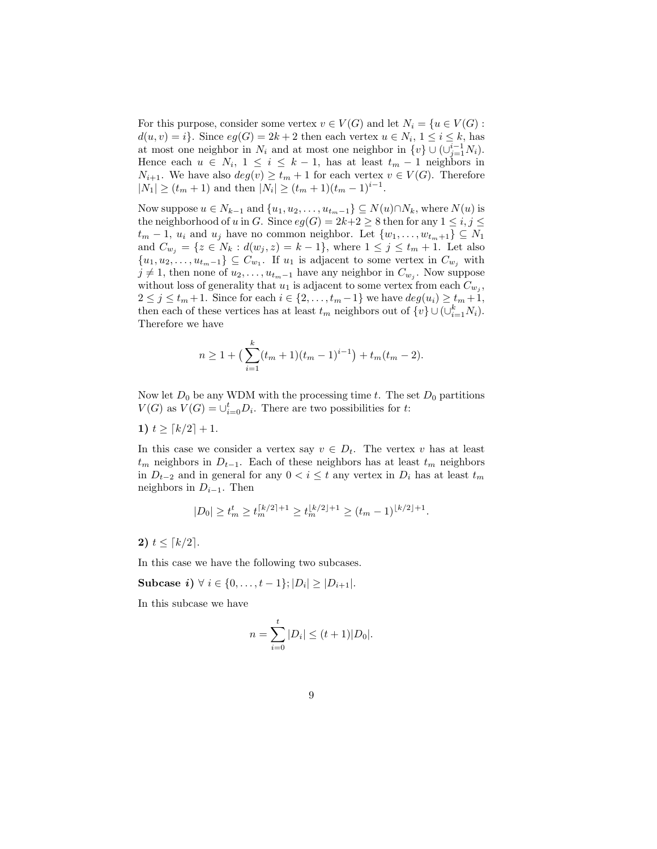For this purpose, consider some vertex  $v \in V(G)$  and let  $N_i = \{u \in V(G) :$  $d(u, v) = i$ . Since  $eg(G) = 2k + 2$  then each vertex  $u \in N_i$ ,  $1 \le i \le k$ , has at most one neighbor in  $N_i$  and at most one neighbor in  $\{v\} \cup (\cup_{j=1}^{i-1} N_i)$ . Hence each  $u \in N_i$ ,  $1 \leq i \leq k-1$ , has at least  $t_m - 1$  neighbors in  $N_{i+1}$ . We have also  $deg(v) \geq t_m + 1$  for each vertex  $v \in V(G)$ . Therefore  $|N_1| \ge (t_m + 1)$  and then  $|N_i| \ge (t_m + 1)(t_m - 1)^{i-1}$ .

Now suppose  $u \in N_{k-1}$  and  $\{u_1, u_2, \ldots, u_{t_m-1}\} \subseteq N(u) \cap N_k$ , where  $N(u)$  is the neighborhood of u in G. Since  $eg(G) = 2k+2 \geq 8$  then for any  $1 \leq i, j \leq 1$  $t_m - 1$ ,  $u_i$  and  $u_j$  have no common neighbor. Let  $\{w_1, \ldots, w_{t_m+1}\} \subseteq N_1$ and  $C_{w_j} = \{z \in N_k : d(w_j, z) = k - 1\}$ , where  $1 \le j \le t_m + 1$ . Let also  ${u_1, u_2, \ldots, u_{t_m-1}} \subseteq C_{w_1}$ . If  $u_1$  is adjacent to some vertex in  $C_{w_j}$  with  $j \neq 1$ , then none of  $u_2, \ldots, u_{t_m-1}$  have any neighbor in  $C_{w_j}$ . Now suppose without loss of generality that  $u_1$  is adjacent to some vertex from each  $C_{w_j}$ ,  $2 \leq j \leq t_m + 1$ . Since for each  $i \in \{2, \ldots, t_m - 1\}$  we have  $deg(u_i) \geq t_m + 1$ , then each of these vertices has at least  $t_m$  neighbors out of  $\{v\} \cup (\cup_{i=1}^k N_i)$ . Therefore we have

$$
n \ge 1 + \left(\sum_{i=1}^{k} (t_m + 1)(t_m - 1)^{i-1}\right) + t_m(t_m - 2).
$$

Now let  $D_0$  be any WDM with the processing time t. The set  $D_0$  partitions  $V(G)$  as  $V(G) = \bigcup_{i=0}^{t} D_i$ . There are two possibilities for t:

$$
1) \ t \ge \lceil k/2 \rceil + 1.
$$

In this case we consider a vertex say  $v \in D_t$ . The vertex v has at least  $t_m$  neighbors in  $D_{t-1}$ . Each of these neighbors has at least  $t_m$  neighbors in  $D_{t-2}$  and in general for any  $0 < i \leq t$  any vertex in  $D_i$  has at least  $t_m$ neighbors in  $D_{i-1}$ . Then

$$
|D_0| \geq t_m^t \geq t_m^{ \lceil k/2 \rceil +1} \geq t_m^{\lfloor k/2 \rfloor +1} \geq (t_m-1)^{\lfloor k/2 \rfloor +1}.
$$

2)  $t \leq \lceil k/2 \rceil$ .

In this case we have the following two subcases.

Subcase *i*)  $\forall i \in \{0, ..., t-1\}; |D_i| \geq |D_{i+1}|$ .

In this subcase we have

$$
n = \sum_{i=0}^{t} |D_i| \le (t+1)|D_0|.
$$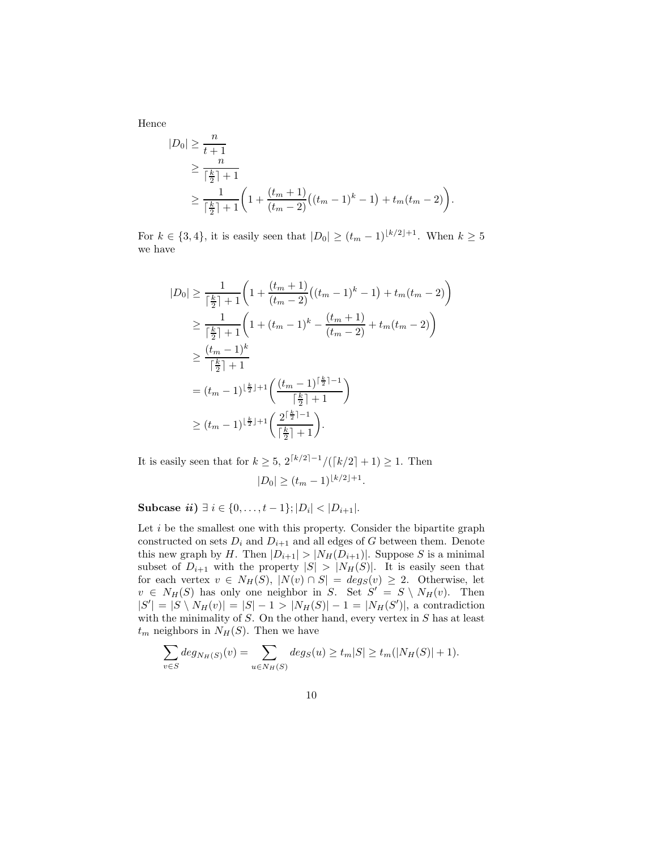Hence

$$
|D_0| \ge \frac{n}{t+1}
$$
  
\n
$$
\ge \frac{n}{\lceil \frac{k}{2} \rceil + 1}
$$
  
\n
$$
\ge \frac{1}{\lceil \frac{k}{2} \rceil + 1} \left( 1 + \frac{(t_m + 1)}{(t_m - 2)} \left( (t_m - 1)^k - 1 \right) + t_m (t_m - 2) \right).
$$

For  $k \in \{3, 4\}$ , it is easily seen that  $|D_0| \ge (t_m - 1)^{\lfloor k/2 \rfloor + 1}$ . When  $k \ge 5$ we have

$$
|D_0| \ge \frac{1}{\lceil \frac{k}{2} \rceil + 1} \left( 1 + \frac{(t_m + 1)}{(t_m - 2)} \left( (t_m - 1)^k - 1 \right) + t_m(t_m - 2) \right)
$$
  
\n
$$
\ge \frac{1}{\lceil \frac{k}{2} \rceil + 1} \left( 1 + (t_m - 1)^k - \frac{(t_m + 1)}{(t_m - 2)} + t_m(t_m - 2) \right)
$$
  
\n
$$
\ge \frac{(t_m - 1)^k}{\lceil \frac{k}{2} \rceil + 1}
$$
  
\n
$$
= (t_m - 1)^{\lfloor \frac{k}{2} \rfloor + 1} \left( \frac{(t_m - 1)^{\lceil \frac{k}{2} \rceil - 1}}{\lceil \frac{k}{2} \rceil + 1} \right)
$$
  
\n
$$
\ge (t_m - 1)^{\lfloor \frac{k}{2} \rfloor + 1} \left( \frac{2^{\lceil \frac{k}{2} \rceil - 1}}{\lceil \frac{k}{2} \rceil + 1} \right).
$$

It is easily seen that for  $k \geq 5$ ,  $2^{\lceil k/2 \rceil - 1} / (\lceil k/2 \rceil + 1) \geq 1$ . Then  $|D_0| \ge (t_m-1)^{\lfloor k/2 \rfloor + 1}.$ 

Subcase  $ii) \exists i \in \{0, ..., t-1\}; |D_i| < |D_{i+1}|.$ 

Let  $i$  be the smallest one with this property. Consider the bipartite graph constructed on sets  $D_i$  and  $D_{i+1}$  and all edges of G between them. Denote this new graph by H. Then  $|D_{i+1}| > |N_H(D_{i+1})|$ . Suppose S is a minimal subset of  $D_{i+1}$  with the property  $|S| > |N_H(S)|$ . It is easily seen that for each vertex  $v \in N_H(S)$ ,  $|N(v) \cap S| = deg_S(v) \geq 2$ . Otherwise, let  $v \in N_H(S)$  has only one neighbor in S. Set  $S' = S \setminus N_H(v)$ . Then  $|S'| = |S \setminus N_H(v)| = |S| - 1 > |N_H(S)| - 1 = |N_H(S')|$ , a contradiction with the minimality of  $S$ . On the other hand, every vertex in  $S$  has at least  $t_m$  neighbors in  $N_H(S)$ . Then we have

$$
\sum_{v \in S} deg_{N_H(S)}(v) = \sum_{u \in N_H(S)} deg_S(u) \ge t_m |S| \ge t_m(|N_H(S)| + 1).
$$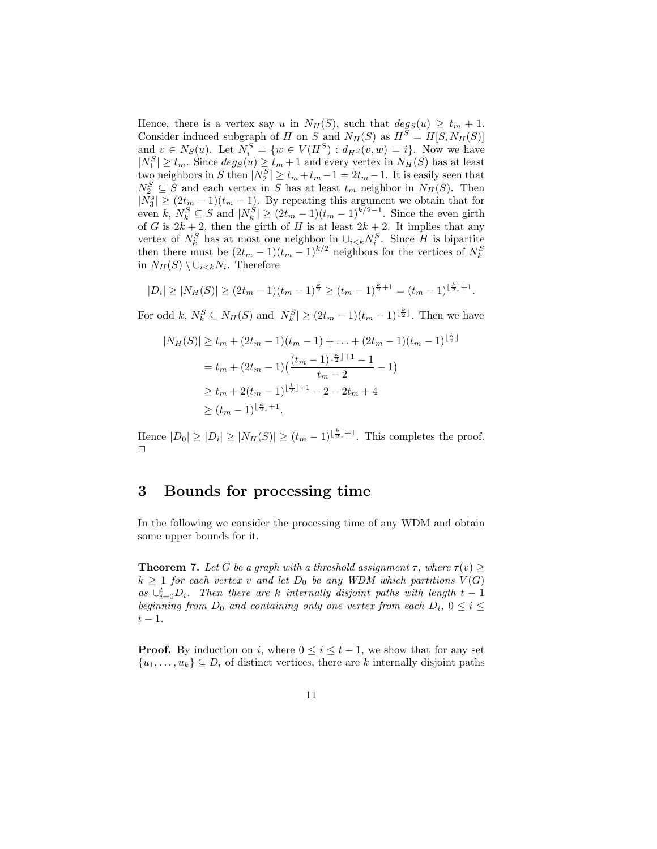Hence, there is a vertex say u in  $N_H(S)$ , such that  $deg_S(u) \geq t_m + 1$ . Consider induced subgraph of H on S and  $N_H(S)$  as  $H^S = H[S, N_H(S)]$ and  $v \in N_S(u)$ . Let  $N_i^S = \{w \in V(H^S) : d_{H^S}(v, w) = i\}$ . Now we have  $|N_1^S| \ge t_m$ . Since  $deg_S(u) \ge t_m + 1$  and every vertex in  $N_H(S)$  has at least two neighbors in S then  $|N_2^S| \ge t_m + t_m - 1 = 2t_m - 1$ . It is easily seen that  $N_2^S \subseteq S$  and each vertex in S has at least  $t_m$  neighbor in  $N_H(S)$ . Then  $|N_3^s| \geq (2t_m - 1)(t_m - 1)$ . By repeating this argument we obtain that for even k,  $N_k^S \subseteq S$  and  $|N_k^S| \ge (2t_m - 1)(t_m - 1)^{k/2-1}$ . Since the even girth of G is  $2k+2$ , then the girth of H is at least  $2k+2$ . It implies that any vertex of  $N_k^S$  has at most one neighbor in  $\cup_{i\leq k} N_i^S$ . Since H is bipartite then there must be  $(2t_m - 1)(t_m - 1)^{k/2}$  neighbors for the vertices of  $N_k^S$ in  $N_H(S) \setminus \cup_{i \leq k} N_i$ . Therefore

$$
|D_i| \ge |N_H(S)| \ge (2t_m - 1)(t_m - 1)^{\frac{k}{2}} \ge (t_m - 1)^{\frac{k}{2}+1} = (t_m - 1)^{\lfloor \frac{k}{2} \rfloor + 1}.
$$

For odd k,  $N_k^S \subseteq N_H(S)$  and  $|N_k^S| \ge (2t_m - 1)(t_m - 1)^{\lfloor \frac{k}{2} \rfloor}$ . Then we have

$$
|N_H(S)| \ge t_m + (2t_m - 1)(t_m - 1) + \dots + (2t_m - 1)(t_m - 1)^{\lfloor \frac{k}{2} \rfloor}
$$
  
=  $t_m + (2t_m - 1)\left(\frac{(t_m - 1)^{\lfloor \frac{k}{2} \rfloor + 1} - 1}{t_m - 2} - 1\right)$   
 $\ge t_m + 2(t_m - 1)^{\lfloor \frac{k}{2} \rfloor + 1} - 2 - 2t_m + 4$   
 $\ge (t_m - 1)^{\lfloor \frac{k}{2} \rfloor + 1}.$ 

Hence  $|D_0| \geq |D_i| \geq |N_H(S)| \geq (t_m - 1)^{\lfloor \frac{k}{2} \rfloor + 1}$ . This completes the proof.  $\Box$ 

## 3 Bounds for processing time

<span id="page-10-0"></span>In the following we consider the processing time of any WDM and obtain some upper bounds for it.

**Theorem 7.** Let G be a graph with a threshold assignment  $\tau$ , where  $\tau(v) \geq$  $k \geq 1$  *for each vertex* v and let  $D_0$  be any WDM which partitions  $V(G)$  $as \cup_{i=0}^t D_i$ . Then there are k internally disjoint paths with length  $t-1$ *beginning from*  $D_0$  *and containing only one vertex from each*  $D_i$ ,  $0 \le i \le$  $t - 1$ .

**Proof.** By induction on i, where  $0 \leq i \leq t-1$ , we show that for any set  $\{u_1, \ldots, u_k\} \subseteq D_i$  of distinct vertices, there are k internally disjoint paths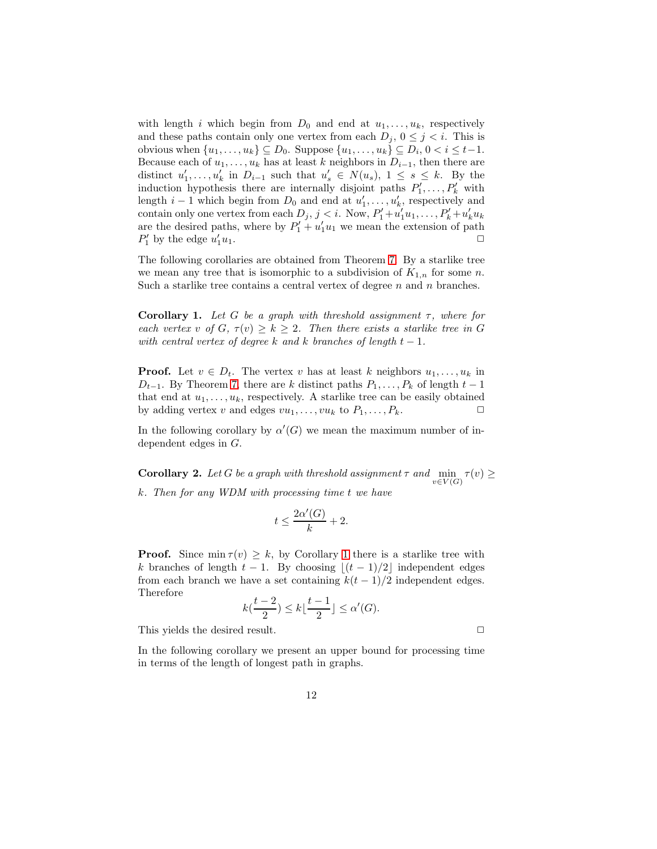with length i which begin from  $D_0$  and end at  $u_1, \ldots, u_k$ , respectively and these paths contain only one vertex from each  $D_i$ ,  $0 \leq j \leq i$ . This is obvious when  $\{u_1, \ldots, u_k\} \subseteq D_0$ . Suppose  $\{u_1, \ldots, u_k\} \subseteq D_i$ ,  $0 < i \leq t-1$ . Because each of  $u_1, \ldots, u_k$  has at least k neighbors in  $D_{i-1}$ , then there are distinct  $u'_1, \ldots, u'_k$  in  $D_{i-1}$  such that  $u'_s \in N(u_s)$ ,  $1 \leq s \leq k$ . By the induction hypothesis there are internally disjoint paths  $P'_1, \ldots, P'_k$  with length  $i-1$  which begin from  $D_0$  and end at  $u'_1, \ldots, u'_k$ , respectively and contain only one vertex from each  $D_j$ ,  $j < i$ . Now,  $P'_1 + u'_1u_1, \ldots, P'_k + u'_ku_k$ are the desired paths, where by  $P'_1 + u'_1 u_1$  we mean the extension of path  $P'_1$  by the edge  $u'_1$  $\int_1 u_1.$ 

<span id="page-11-0"></span>The following corollaries are obtained from Theorem [7.](#page-10-0) By a starlike tree we mean any tree that is isomorphic to a subdivision of  $K_{1,n}$  for some n. Such a starlike tree contains a central vertex of degree  $n$  and  $n$  branches.

Corollary 1. *Let* G *be a graph with threshold assignment* τ*, where for each vertex* v of  $G, \tau(v) \geq k \geq 2$ . Then there exists a starlike tree in G *with central vertex of degree*  $k$  *and*  $k$  *branches of length*  $t - 1$ *.* 

**Proof.** Let  $v \in D_t$ . The vertex v has at least k neighbors  $u_1, \ldots, u_k$  in  $D_{t-1}$ . By Theorem [7,](#page-10-0) there are k distinct paths  $P_1, \ldots, P_k$  of length  $t-1$ that end at  $u_1, \ldots, u_k$ , respectively. A starlike tree can be easily obtained by adding vertex v and edges  $vu_1, \ldots, vu_k$  to  $P_1, \ldots, P_k$ .

In the following corollary by  $\alpha'(G)$  we mean the maximum number of independent edges in G.

**Corollary 2.** Let G be a graph with threshold assignment  $\tau$  and  $\min_{\tau} \tau(v) \geq$  $v\in V(G)$ k*. Then for any WDM with processing time* t *we have*

$$
t \le \frac{2\alpha'(G)}{k} + 2.
$$

**Proof.** Since  $\min \tau(v) \geq k$ , by Corollary [1](#page-11-0) there is a starlike tree with k branches of length  $t - 1$ . By choosing  $|(t - 1)/2|$  independent edges from each branch we have a set containing  $k(t-1)/2$  independent edges. Therefore

$$
k(\frac{t-2}{2}) \le k\lfloor \frac{t-1}{2} \rfloor \le \alpha'(G).
$$

This yields the desired result.  $\Box$ 

In the following corollary we present an upper bound for processing time in terms of the length of longest path in graphs.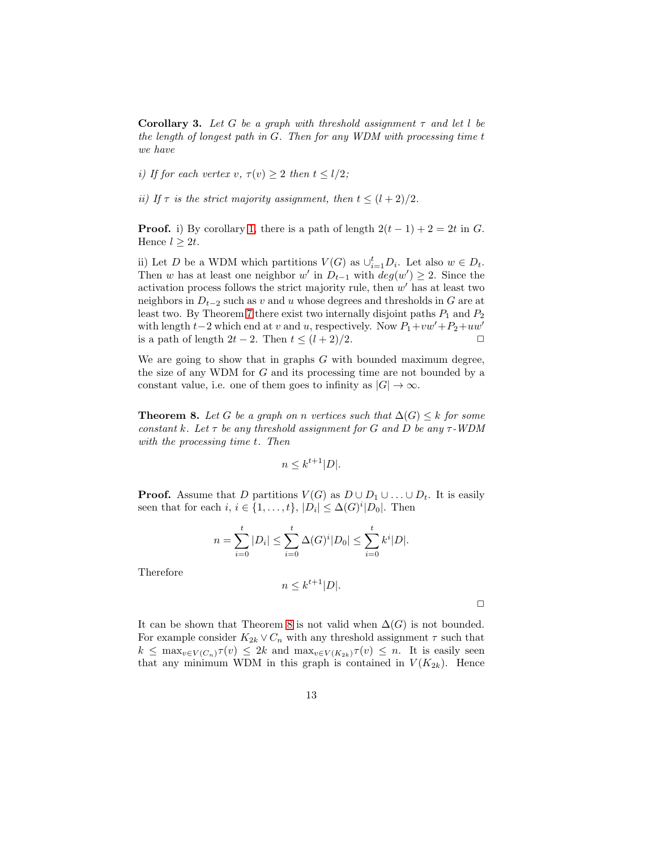**Corollary 3.** Let G be a graph with threshold assignment  $\tau$  and let l be *the length of longest path in* G*. Then for any WDM with processing time* t *we have*

*i)* If for each vertex v,  $\tau(v) \geq 2$  then  $t \leq l/2$ ;

*ii)* If  $\tau$  *is the strict majority assignment, then*  $t \leq (l+2)/2$ *.* 

**Proof.** i) By corollary [1,](#page-11-0) there is a path of length  $2(t-1) + 2 = 2t$  in G. Hence  $l \geq 2t$ .

ii) Let D be a WDM which partitions  $V(G)$  as  $\cup_{i=1}^{t} D_i$ . Let also  $w \in D_t$ . Then w has at least one neighbor w' in  $D_{t-1}$  with  $deg(w') \geq 2$ . Since the activation process follows the strict majority rule, then  $w'$  has at least two neighbors in  $D_{t-2}$  such as v and u whose degrees and thresholds in G are at least two. By Theorem [7](#page-10-0) there exist two internally disjoint paths  $P_1$  and  $P_2$ with length  $t-2$  which end at v and u, respectively. Now  $P_1+vw'+P_2+uw'$ is a path of length  $2t - 2$ . Then  $t \leq (l + 2)/2$ .

<span id="page-12-0"></span>We are going to show that in graphs  $G$  with bounded maximum degree, the size of any WDM for G and its processing time are not bounded by a constant value, i.e. one of them goes to infinity as  $|G| \to \infty$ .

**Theorem 8.** Let G be a graph on n vertices such that  $\Delta(G) \leq k$  for some *constant* k*. Let* τ *be any threshold assignment for* G *and* D *be any* τ*-WDM with the processing time* t*. Then*

$$
n \le k^{t+1} |D|.
$$

**Proof.** Assume that D partitions  $V(G)$  as  $D \cup D_1 \cup ... \cup D_t$ . It is easily seen that for each  $i, i \in \{1, ..., t\}, |D_i| \leq \Delta(G)^i |D_0|$ . Then

$$
n = \sum_{i=0}^{t} |D_i| \le \sum_{i=0}^{t} \Delta(G)^i |D_0| \le \sum_{i=0}^{t} k^i |D|.
$$

Therefore

$$
n \leq k^{t+1}|D|.
$$

 $\Box$ 

It can be shown that Theorem [8](#page-12-0) is not valid when  $\Delta(G)$  is not bounded. For example consider  $K_{2k} \vee C_n$  with any threshold assignment  $\tau$  such that  $k \leq \max_{v \in V(C_n)} \tau(v) \leq 2k$  and  $\max_{v \in V(K_{2k})} \tau(v) \leq n$ . It is easily seen that any minimum WDM in this graph is contained in  $V(K_{2k})$ . Hence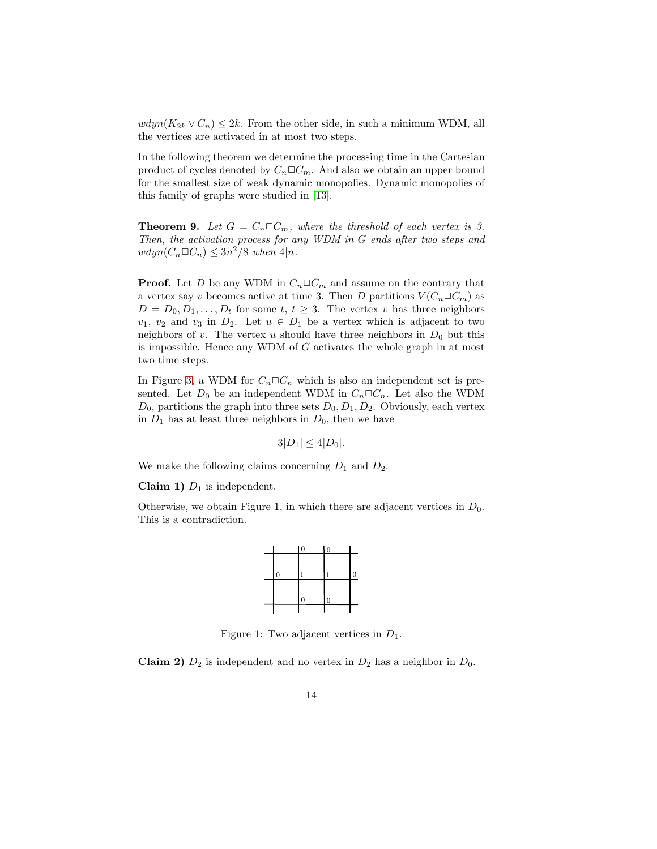$wdyn(K_{2k} \vee C_n) \leq 2k$ . From the other side, in such a minimum WDM, all the vertices are activated in at most two steps.

In the following theorem we determine the processing time in the Cartesian product of cycles denoted by  $C_n \Box C_m$ . And also we obtain an upper bound for the smallest size of weak dynamic monopolies. Dynamic monopolies of this family of graphs were studied in [\[13\]](#page-18-1).

**Theorem 9.** Let  $G = C_n \square C_m$ , where the threshold of each vertex is 3. *Then, the activation process for any WDM in* G *ends after two steps and*  $wdyn(C_n \Box C_n) \leq 3n^2/8$  when  $4|n$ .

**Proof.** Let D be any WDM in  $C_n \square C_m$  and assume on the contrary that a vertex say v becomes active at time 3. Then D partitions  $V(C_n \Box C_m)$  as  $D = D_0, D_1, \ldots, D_t$  for some  $t, t \geq 3$ . The vertex v has three neighbors  $v_1, v_2$  and  $v_3$  in  $D_2$ . Let  $u \in D_1$  be a vertex which is adjacent to two neighbors of v. The vertex u should have three neighbors in  $D_0$  but this is impossible. Hence any WDM of  $G$  activates the whole graph in at most two time steps.

In Figure [3,](#page-14-0) a WDM for  $C_n \square C_n$  which is also an independent set is presented. Let  $D_0$  be an independent WDM in  $C_n \square C_n$ . Let also the WDM  $D_0$ , partitions the graph into three sets  $D_0, D_1, D_2$ . Obviously, each vertex in  $D_1$  has at least three neighbors in  $D_0$ , then we have

$$
3|D_1| \leq 4|D_0|.
$$

We make the following claims concerning  $D_1$  and  $D_2$ .

Claim 1)  $D_1$  is independent.

Otherwise, we obtain Figure 1, in which there are adjacent vertices in  $D_0$ . This is a contradiction.



Figure 1: Two adjacent vertices in  $D_1$ .

**Claim 2)**  $D_2$  is independent and no vertex in  $D_2$  has a neighbor in  $D_0$ .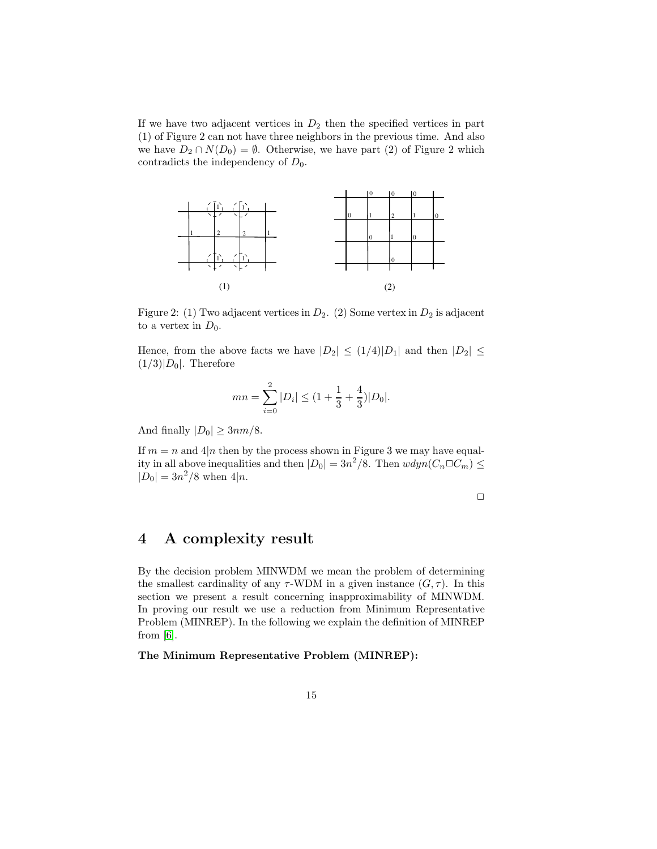If we have two adjacent vertices in  $D_2$  then the specified vertices in part (1) of Figure 2 can not have three neighbors in the previous time. And also we have  $D_2 \cap N(D_0) = \emptyset$ . Otherwise, we have part (2) of Figure 2 which contradicts the independency of  $D_0$ .



<span id="page-14-0"></span>Figure 2: (1) Two adjacent vertices in  $D_2$ . (2) Some vertex in  $D_2$  is adjacent to a vertex in  $D_0$ .

Hence, from the above facts we have  $|D_2| \leq (1/4)|D_1|$  and then  $|D_2| \leq$  $(1/3)|D_0|$ . Therefore

$$
mn = \sum_{i=0}^{2} |D_i| \le (1 + \frac{1}{3} + \frac{4}{3})|D_0|.
$$

And finally  $|D_0| \geq 3nm/8$ .

If  $m = n$  and  $4|n$  then by the process shown in Figure 3 we may have equality in all above inequalities and then  $|D_0| = 3n^2/8$ . Then  $wdyn(C_n \Box C_m) \le$  $|D_0| = 3n^2/8$  when  $4|n$ .

 $\Box$ 

# 4 A complexity result

By the decision problem MINWDM we mean the problem of determining the smallest cardinality of any  $\tau$ -WDM in a given instance  $(G, \tau)$ . In this section we present a result concerning inapproximability of MINWDM. In proving our result we use a reduction from Minimum Representative Problem (MINREP). In the following we explain the definition of MINREP from  $[6]$ .

The Minimum Representative Problem (MINREP):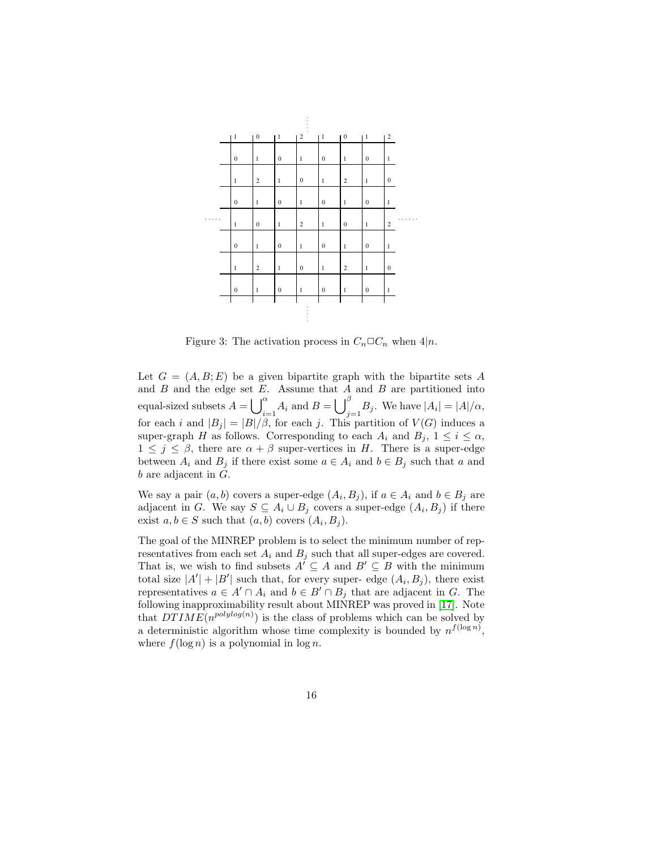

Figure 3: The activation process in  $C_n \Box C_n$  when  $4|n$ .

Let  $G = (A, B; E)$  be a given bipartite graph with the bipartite sets A and  $B$  and the edge set  $E$ . Assume that  $A$  and  $B$  are partitioned into equal-sized subsets  $A = \bigcup_{i=1}^{\alpha} A_i$  and  $B = \bigcup_{j=1}^{\beta} B_j$ . We have  $|A_i| = |A|/\alpha$ , for each i and  $|B_j| = |B|/\beta$ , for each j. This partition of  $V(G)$  induces a super-graph H as follows. Corresponding to each  $A_i$  and  $B_j$ ,  $1 \leq i \leq \alpha$ ,  $1 \leq j \leq \beta$ , there are  $\alpha + \beta$  super-vertices in H. There is a super-edge between  $A_i$  and  $B_j$  if there exist some  $a \in A_i$  and  $b \in B_j$  such that a and  $b$  are adjacent in  $G$ .

We say a pair  $(a, b)$  covers a super-edge  $(A_i, B_j)$ , if  $a \in A_i$  and  $b \in B_j$  are adjacent in G. We say  $S \subseteq A_i \cup B_j$  covers a super-edge  $(A_i, B_j)$  if there exist  $a, b \in S$  such that  $(a, b)$  covers  $(A_i, B_j)$ .

The goal of the MINREP problem is to select the minimum number of representatives from each set  $A_i$  and  $B_j$  such that all super-edges are covered. That is, we wish to find subsets  $A' \subseteq A$  and  $B' \subseteq B$  with the minimum total size  $|A'| + |B'|$  such that, for every super- edge  $(A_i, B_j)$ , there exist representatives  $a \in A' \cap A_i$  and  $b \in B' \cap B_j$  that are adjacent in G. The following inapproximability result about MINREP was proved in [\[17\]](#page-18-7). Note that  $DTIME(n^{polylog(n)})$  is the class of problems which can be solved by a deterministic algorithm whose time complexity is bounded by  $n^{f(\log n)}$ , where  $f(\log n)$  is a polynomial in  $\log n$ .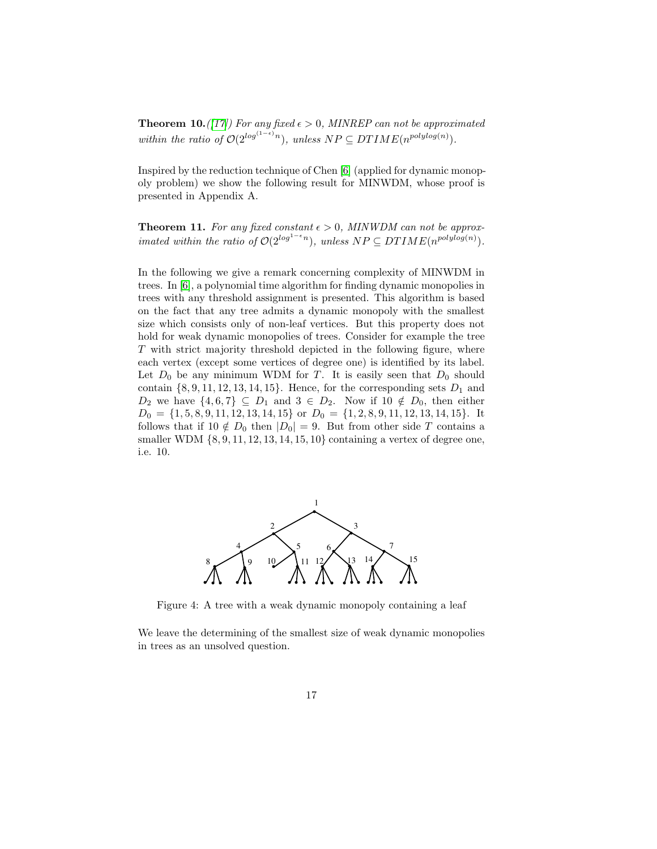**Theorem 10.** ([\[17\]](#page-18-7)] For any fixed  $\epsilon > 0$ , MINREP can not be approximated  $within \ the \ ratio \ of \ O(2^{\log^{(1-\epsilon)} n})$ , unless  $NP \subseteq DTIME(n^{\ polylog(n)})$ .

<span id="page-16-0"></span>Inspired by the reduction technique of Chen [\[6\]](#page-17-3) (applied for dynamic monopoly problem) we show the following result for MINWDM, whose proof is presented in Appendix A.

**Theorem 11.** For any fixed constant  $\epsilon > 0$ , MINWDM can not be approx*imated within the ratio of*  $O(2^{\log^{1-\epsilon} n})$ *, unless*  $NP \subseteq DTIME(n^{\text{polylog}(n)})$ *.* 

In the following we give a remark concerning complexity of MINWDM in trees. In [\[6\]](#page-17-3), a polynomial time algorithm for finding dynamic monopolies in trees with any threshold assignment is presented. This algorithm is based on the fact that any tree admits a dynamic monopoly with the smallest size which consists only of non-leaf vertices. But this property does not hold for weak dynamic monopolies of trees. Consider for example the tree T with strict majority threshold depicted in the following figure, where each vertex (except some vertices of degree one) is identified by its label. Let  $D_0$  be any minimum WDM for T. It is easily seen that  $D_0$  should contain  $\{8, 9, 11, 12, 13, 14, 15\}$ . Hence, for the corresponding sets  $D_1$  and  $D_2$  we have  $\{4,6,7\} \subseteq D_1$  and  $3 \in D_2$ . Now if  $10 \notin D_0$ , then either  $D_0 = \{1, 5, 8, 9, 11, 12, 13, 14, 15\}$  or  $D_0 = \{1, 2, 8, 9, 11, 12, 13, 14, 15\}$ . It follows that if  $10 \notin D_0$  then  $|D_0| = 9$ . But from other side T contains a smaller WDM  $\{8, 9, 11, 12, 13, 14, 15, 10\}$  containing a vertex of degree one, i.e. 10.



Figure 4: A tree with a weak dynamic monopoly containing a leaf

We leave the determining of the smallest size of weak dynamic monopolies in trees as an unsolved question.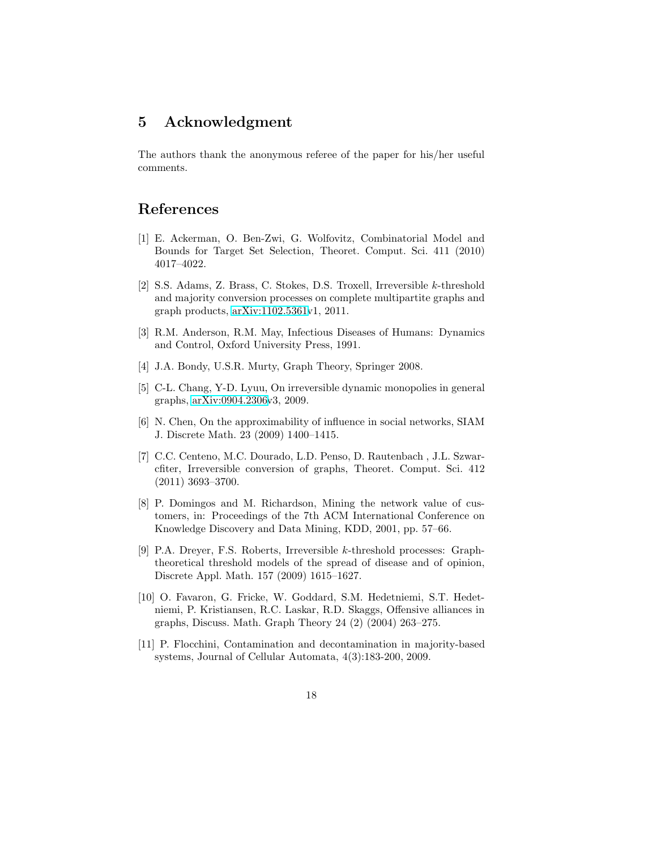### 5 Acknowledgment

The authors thank the anonymous referee of the paper for his/her useful comments.

### <span id="page-17-0"></span>References

- [1] E. Ackerman, O. Ben-Zwi, G. Wolfovitz, Combinatorial Model and Bounds for Target Set Selection, Theoret. Comput. Sci. 411 (2010) 4017–4022.
- <span id="page-17-1"></span>[2] S.S. Adams, Z. Brass, C. Stokes, D.S. Troxell, Irreversible k-threshold and majority conversion processes on complete multipartite graphs and graph products, [arXiv:1102.5361v](http://arxiv.org/abs/1102.5361)1, 2011.
- <span id="page-17-9"></span><span id="page-17-8"></span>[3] R.M. Anderson, R.M. May, Infectious Diseases of Humans: Dynamics and Control, Oxford University Press, 1991.
- <span id="page-17-2"></span>[4] J.A. Bondy, U.S.R. Murty, Graph Theory, Springer 2008.
- [5] C-L. Chang, Y-D. Lyuu, On irreversible dynamic monopolies in general graphs, [arXiv:0904.2306v](http://arxiv.org/abs/0904.2306)3, 2009.
- <span id="page-17-3"></span>[6] N. Chen, On the approximability of influence in social networks, SIAM J. Discrete Math. 23 (2009) 1400–1415.
- <span id="page-17-5"></span>[7] C.C. Centeno, M.C. Dourado, L.D. Penso, D. Rautenbach , J.L. Szwarcfiter, Irreversible conversion of graphs, Theoret. Comput. Sci. 412 (2011) 3693–3700.
- <span id="page-17-6"></span>[8] P. Domingos and M. Richardson, Mining the network value of customers, in: Proceedings of the 7th ACM International Conference on Knowledge Discovery and Data Mining, KDD, 2001, pp. 57–66.
- <span id="page-17-4"></span>[9] P.A. Dreyer, F.S. Roberts, Irreversible k-threshold processes: Graphtheoretical threshold models of the spread of disease and of opinion, Discrete Appl. Math. 157 (2009) 1615–1627.
- <span id="page-17-10"></span>[10] O. Favaron, G. Fricke, W. Goddard, S.M. Hedetniemi, S.T. Hedetniemi, P. Kristiansen, R.C. Laskar, R.D. Skaggs, Offensive alliances in graphs, Discuss. Math. Graph Theory 24 (2) (2004) 263–275.
- <span id="page-17-7"></span>[11] P. Flocchini, Contamination and decontamination in majority-based systems, Journal of Cellular Automata, 4(3):183-200, 2009.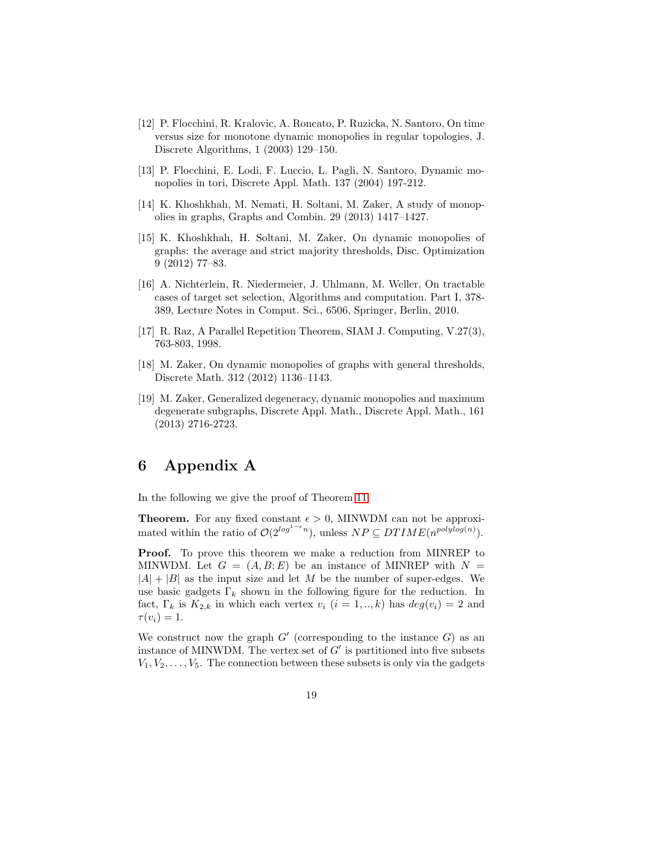- <span id="page-18-0"></span>[12] P. Flocchini, R. Kralovic, A. Roncato, P. Ruzicka, N. Santoro, On time versus size for monotone dynamic monopolies in regular topologies, J. Discrete Algorithms, 1 (2003) 129–150.
- <span id="page-18-1"></span>[13] P. Flocchini, E. Lodi, F. Luccio, L. Pagli, N. Santoro, Dynamic monopolies in tori, Discrete Appl. Math. 137 (2004) 197-212.
- <span id="page-18-6"></span><span id="page-18-2"></span>[14] K. Khoshkhah, M. Nemati, H. Soltani, M. Zaker, A study of monopolies in graphs, Graphs and Combin. 29 (2013) 1417–1427.
- [15] K. Khoshkhah, H. Soltani, M. Zaker, On dynamic monopolies of graphs: the average and strict majority thresholds, Disc. Optimization 9 (2012) 77–83.
- <span id="page-18-5"></span>[16] A. Nichterlein, R. Niedermeier, J. Uhlmann, M. Weller, On tractable cases of target set selection, Algorithms and computation. Part I, 378- 389, Lecture Notes in Comput. Sci., 6506, Springer, Berlin, 2010.
- <span id="page-18-7"></span>[17] R. Raz, A Parallel Repetition Theorem, SIAM J. Computing, V.27(3), 763-803, 1998.
- <span id="page-18-3"></span>[18] M. Zaker, On dynamic monopolies of graphs with general thresholds, Discrete Math. 312 (2012) 1136–1143.
- <span id="page-18-4"></span>[19] M. Zaker, Generalized degeneracy, dynamic monopolies and maximum degenerate subgraphs, Discrete Appl. Math., Discrete Appl. Math., 161 (2013) 2716-2723.

# 6 Appendix A

In the following we give the proof of Theorem [11.](#page-16-0)

**Theorem.** For any fixed constant  $\epsilon > 0$ , MINWDM can not be approximated within the ratio of  $\mathcal{O}(2^{\log^{1-\epsilon} n})$ , unless  $NP \subseteq DTIME(n^{\text{polylog}(n)})$ .

Proof. To prove this theorem we make a reduction from MINREP to MINWDM. Let  $G = (A, B; E)$  be an instance of MINREP with  $N =$  $|A| + |B|$  as the input size and let M be the number of super-edges. We use basic gadgets  $\Gamma_k$  shown in the following figure for the reduction. In fact,  $\Gamma_k$  is  $K_{2,k}$  in which each vertex  $v_i$   $(i = 1, ..., k)$  has  $deg(v_i) = 2$  and  $\tau(v_i)=1.$ 

We construct now the graph  $G'$  (corresponding to the instance  $G$ ) as an instance of MINWDM. The vertex set of  $G'$  is partitioned into five subsets  $V_1, V_2, \ldots, V_5$ . The connection between these subsets is only via the gadgets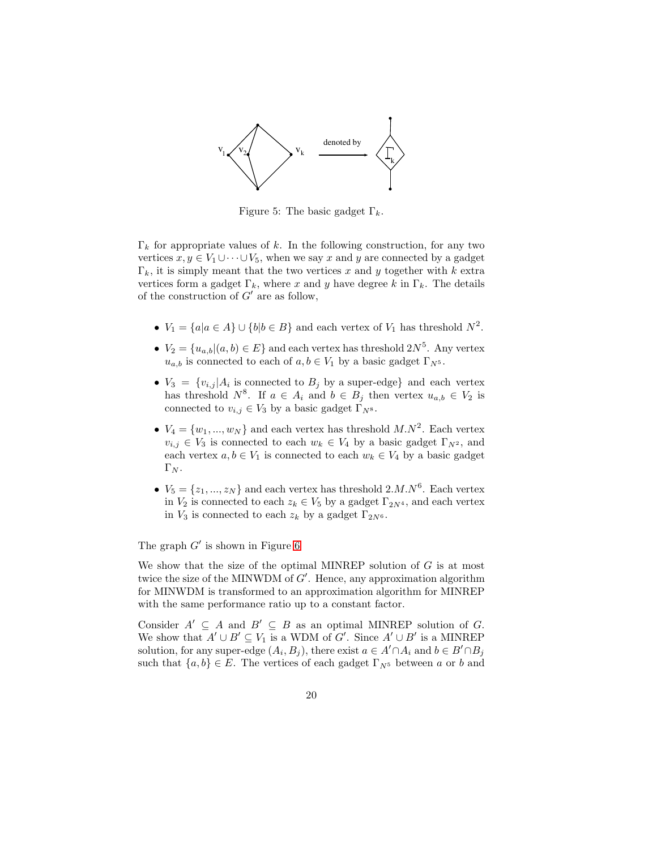

Figure 5: The basic gadget  $\Gamma_k$ .

 $\Gamma_k$  for appropriate values of k. In the following construction, for any two vertices  $x, y \in V_1 \cup \cdots \cup V_5$ , when we say x and y are connected by a gadget  $\Gamma_k$ , it is simply meant that the two vertices x and y together with k extra vertices form a gadget  $\Gamma_k$ , where x and y have degree k in  $\Gamma_k$ . The details of the construction of  $G'$  are as follow,

- $V_1 = \{a | a \in A\} \cup \{b | b \in B\}$  and each vertex of  $V_1$  has threshold  $N^2$ .
- $V_2 = \{u_{a,b} | (a, b) \in E\}$  and each vertex has threshold  $2N^5$ . Any vertex  $u_{a,b}$  is connected to each of  $a, b \in V_1$  by a basic gadget  $\Gamma_{N^5}$ .
- $V_3 = \{v_{i,j} | A_i \text{ is connected to } B_j \text{ by a super-edge}\}\$ and each vertex has threshold  $N^8$ . If  $a \in A_i$  and  $b \in B_j$  then vertex  $u_{a,b} \in V_2$  is connected to  $v_{i,j} \in V_3$  by a basic gadget  $\Gamma_{N^8}$ .
- $V_4 = \{w_1, ..., w_N\}$  and each vertex has threshold  $M.N^2$ . Each vertex  $v_{i,j} \in V_3$  is connected to each  $w_k \in V_4$  by a basic gadget  $\Gamma_{N^2}$ , and each vertex  $a, b \in V_1$  is connected to each  $w_k \in V_4$  by a basic gadget  $\Gamma_N$ .
- $V_5 = \{z_1, ..., z_N\}$  and each vertex has threshold  $2.M.N^6$ . Each vertex in  $V_2$  is connected to each  $z_k \in V_5$  by a gadget  $\Gamma_{2N^4}$ , and each vertex in  $V_3$  is connected to each  $z_k$  by a gadget  $\Gamma_{2N^6}$ .

The graph  $G'$  is shown in Figure [6](#page-20-0)

We show that the size of the optimal MINREP solution of  $G$  is at most twice the size of the MINWDM of  $G'$ . Hence, any approximation algorithm for MINWDM is transformed to an approximation algorithm for MINREP with the same performance ratio up to a constant factor.

Consider  $A' \subseteq A$  and  $B' \subseteq B$  as an optimal MINREP solution of G. We show that  $A' \cup B' \subseteq V_1$  is a WDM of G'. Since  $A' \cup B'$  is a MINREP solution, for any super-edge  $(A_i, B_j)$ , there exist  $a \in A' \cap A_i$  and  $b \in B' \cap B_j$ such that  $\{a, b\} \in E$ . The vertices of each gadget  $\Gamma_{N^5}$  between a or b and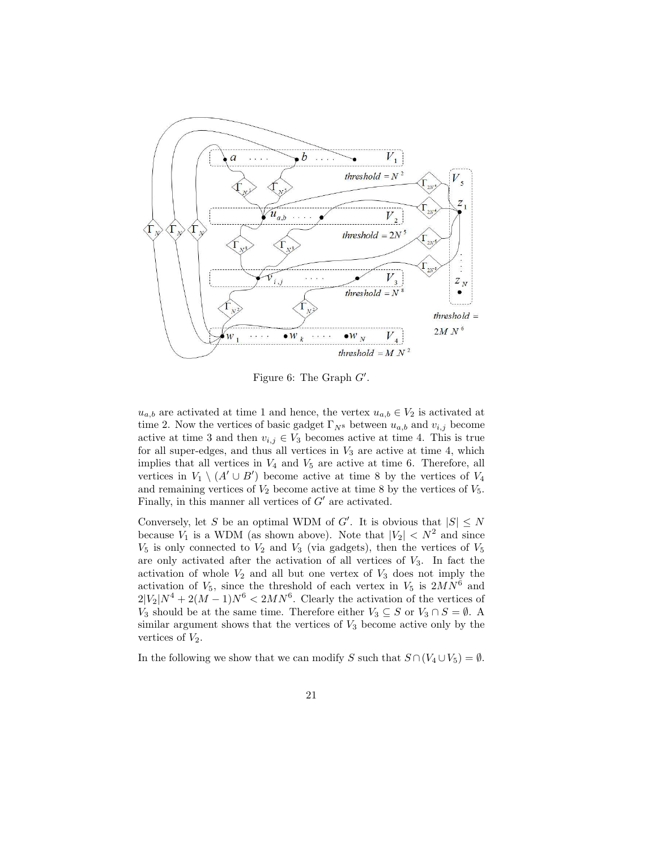

<span id="page-20-0"></span>Figure 6: The Graph  $G'$ .

 $u_{a,b}$  are activated at time 1 and hence, the vertex  $u_{a,b} \in V_2$  is activated at time 2. Now the vertices of basic gadget  $\Gamma_{N^8}$  between  $u_{a,b}$  and  $v_{i,j}$  become active at time 3 and then  $v_{i,j} \in V_3$  becomes active at time 4. This is true for all super-edges, and thus all vertices in  $V_3$  are active at time 4, which implies that all vertices in  $V_4$  and  $V_5$  are active at time 6. Therefore, all vertices in  $V_1 \setminus (A' \cup B')$  become active at time 8 by the vertices of  $V_4$ and remaining vertices of  $V_2$  become active at time 8 by the vertices of  $V_5$ . Finally, in this manner all vertices of  $G'$  are activated.

Conversely, let S be an optimal WDM of G'. It is obvious that  $|S| \leq N$ because  $V_1$  is a WDM (as shown above). Note that  $|V_2| < N^2$  and since  $V_5$  is only connected to  $V_2$  and  $V_3$  (via gadgets), then the vertices of  $V_5$ are only activated after the activation of all vertices of  $V_3$ . In fact the activation of whole  $V_2$  and all but one vertex of  $V_3$  does not imply the activation of  $V_5$ , since the threshold of each vertex in  $V_5$  is  $2MN^6$  and  $2|V_2|N^4 + 2(M-1)N^6 < 2MN^6$ . Clearly the activation of the vertices of V<sub>3</sub> should be at the same time. Therefore either  $V_3 \subseteq S$  or  $V_3 \cap S = \emptyset$ . A similar argument shows that the vertices of  $V_3$  become active only by the vertices of  $V_2$ .

In the following we show that we can modify S such that  $S \cap (V_4 \cup V_5) = \emptyset$ .